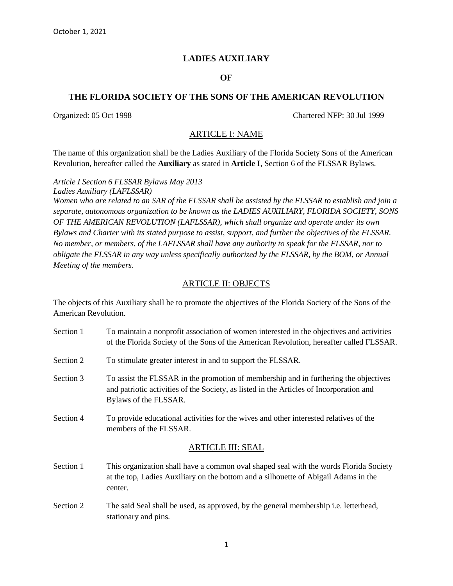# **LADIES AUXILIARY**

## **OF**

### **THE FLORIDA SOCIETY OF THE SONS OF THE AMERICAN REVOLUTION**

Organized: 05 Oct 1998 Chartered NFP: 30 Jul 1999

### ARTICLE I: NAME

The name of this organization shall be the Ladies Auxiliary of the Florida Society Sons of the American Revolution, hereafter called the **Auxiliary** as stated in **Article I**, Section 6 of the FLSSAR Bylaws.

*Article I Section 6 FLSSAR Bylaws May 2013 Ladies Auxiliary (LAFLSSAR)* 

*Women who are related to an SAR of the FLSSAR shall be assisted by the FLSSAR to establish and join a separate, autonomous organization to be known as the LADIES AUXILIARY, FLORIDA SOCIETY, SONS OF THE AMERICAN REVOLUTION (LAFLSSAR), which shall organize and operate under its own Bylaws and Charter with its stated purpose to assist, support, and further the objectives of the FLSSAR. No member, or members, of the LAFLSSAR shall have any authority to speak for the FLSSAR, nor to obligate the FLSSAR in any way unless specifically authorized by the FLSSAR, by the BOM, or Annual Meeting of the members.*

## ARTICLE II: OBJECTS

The objects of this Auxiliary shall be to promote the objectives of the Florida Society of the Sons of the American Revolution.

| Section 1 | To maintain a nonprofit association of women interested in the objectives and activities<br>of the Florida Society of the Sons of the American Revolution, hereafter called FLSSAR.                      |  |
|-----------|----------------------------------------------------------------------------------------------------------------------------------------------------------------------------------------------------------|--|
| Section 2 | To stimulate greater interest in and to support the FLSSAR.                                                                                                                                              |  |
| Section 3 | To assist the FLSSAR in the promotion of membership and in furthering the objectives<br>and patriotic activities of the Society, as listed in the Articles of Incorporation and<br>Bylaws of the FLSSAR. |  |
| Section 4 | To provide educational activities for the wives and other interested relatives of the<br>members of the FLSSAR.                                                                                          |  |
|           | <b>ARTICLE III: SEAL</b>                                                                                                                                                                                 |  |
| Section 1 | This organization shall have a common oval shaped seal with the words Florida Society<br>at the top, Ladies Auxiliary on the bottom and a silhouette of Abigail Adams in the<br>center.                  |  |
| Section 2 | The said Seal shall be used, as approved, by the general membership i.e. letterhead,<br>stationary and pins.                                                                                             |  |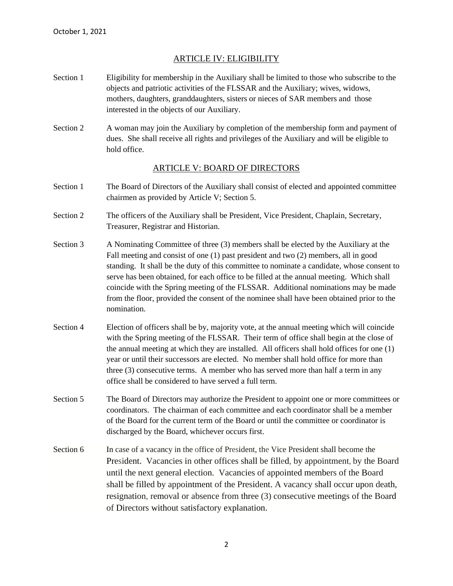# ARTICLE IV: ELIGIBILITY

- Section 1 Eligibility for membership in the Auxiliary shall be limited to those who subscribe to the objects and patriotic activities of the FLSSAR and the Auxiliary; wives, widows, mothers, daughters, granddaughters, sisters or nieces of SAR members and those interested in the objects of our Auxiliary.
- Section 2 A woman may join the Auxiliary by completion of the membership form and payment of dues. She shall receive all rights and privileges of the Auxiliary and will be eligible to hold office.

### ARTICLE V: BOARD OF DIRECTORS

- Section 1 The Board of Directors of the Auxiliary shall consist of elected and appointed committee chairmen as provided by Article V; Section 5.
- Section 2 The officers of the Auxiliary shall be President, Vice President, Chaplain, Secretary, Treasurer, Registrar and Historian.
- Section 3 A Nominating Committee of three (3) members shall be elected by the Auxiliary at the Fall meeting and consist of one (1) past president and two (2) members, all in good standing. It shall be the duty of this committee to nominate a candidate, whose consent to serve has been obtained, for each office to be filled at the annual meeting. Which shall coincide with the Spring meeting of the FLSSAR. Additional nominations may be made from the floor, provided the consent of the nominee shall have been obtained prior to the nomination.
- Section 4 Election of officers shall be by, majority vote, at the annual meeting which will coincide with the Spring meeting of the FLSSAR. Their term of office shall begin at the close of the annual meeting at which they are installed. All officers shall hold offices for one (1) year or until their successors are elected. No member shall hold office for more than three (3) consecutive terms. A member who has served more than half a term in any office shall be considered to have served a full term.
- Section 5 The Board of Directors may authorize the President to appoint one or more committees or coordinators. The chairman of each committee and each coordinator shall be a member of the Board for the current term of the Board or until the committee or coordinator is discharged by the Board, whichever occurs first.
- Section 6 In case of a vacancy in the office of President, the Vice President shall become the President. Vacancies in other offices shall be filled, by appointment, by the Board until the next general election. Vacancies of appointed members of the Board shall be filled by appointment of the President. A vacancy shall occur upon death, resignation, removal or absence from three (3) consecutive meetings of the Board of Directors without satisfactory explanation.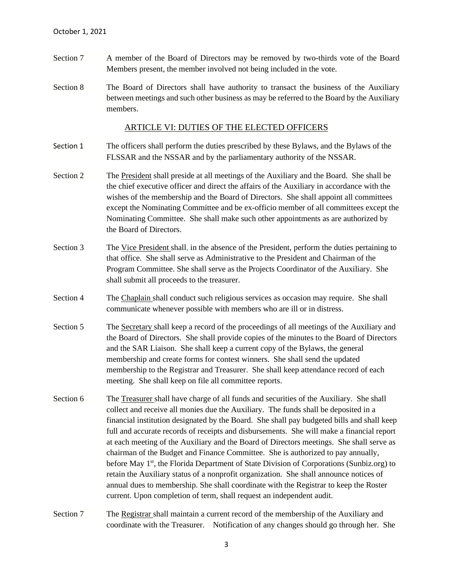- Section 7 A member of the Board of Directors may be removed by two-thirds vote of the Board Members present, the member involved not being included in the vote.
- Section 8 The Board of Directors shall have authority to transact the business of the Auxiliary between meetings and such other business as may be referred to the Board by the Auxiliary members.

#### ARTICLE VI: DUTIES OF THE ELECTED OFFICERS

- Section 1 The officers shall perform the duties prescribed by these Bylaws, and the Bylaws of the FLSSAR and the NSSAR and by the parliamentary authority of the NSSAR.
- Section 2 The President shall preside at all meetings of the Auxiliary and the Board. She shall be the chief executive officer and direct the affairs of the Auxiliary in accordance with the wishes of the membership and the Board of Directors. She shall appoint all committees except the Nominating Committee and be ex-officio member of all committees except the Nominating Committee. She shall make such other appointments as are authorized by the Board of Directors.
- Section 3 The Vice President shall, in the absence of the President, perform the duties pertaining to that office. She shall serve as Administrative to the President and Chairman of the Program Committee. She shall serve as the Projects Coordinator of the Auxiliary. She shall submit all proceeds to the treasurer.
- Section 4 The Chaplain shall conduct such religious services as occasion may require. She shall communicate whenever possible with members who are ill or in distress.
- Section 5 The Secretary shall keep a record of the proceedings of all meetings of the Auxiliary and the Board of Directors. She shall provide copies of the minutes to the Board of Directors and the SAR Liaison. She shall keep a current copy of the Bylaws, the general membership and create forms for contest winners. She shall send the updated membership to the Registrar and Treasurer. She shall keep attendance record of each meeting. She shall keep on file all committee reports.
- Section 6 The Treasurer shall have charge of all funds and securities of the Auxiliary. She shall collect and receive all monies due the Auxiliary. The funds shall be deposited in a financial institution designated by the Board. She shall pay budgeted bills and shall keep full and accurate records of receipts and disbursements. She will make a financial report at each meeting of the Auxiliary and the Board of Directors meetings. She shall serve as chairman of the Budget and Finance Committee. She is authorized to pay annually, before May 1<sup>st</sup>, the Florida Department of State Division of Corporations (Sunbiz.org) to retain the Auxiliary status of a nonprofit organization. She shall announce notices of annual dues to membership. She shall coordinate with the Registrar to keep the Roster current. Upon completion of term, shall request an independent audit.
- Section 7 The Registrar shall maintain a current record of the membership of the Auxiliary and coordinate with the Treasurer. Notification of any changes should go through her. She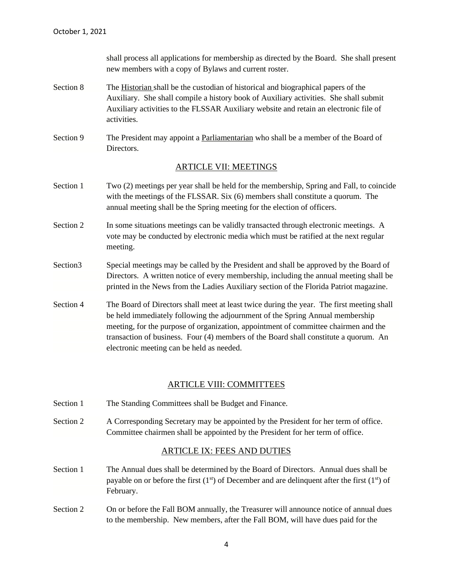shall process all applications for membership as directed by the Board. She shall present new members with a copy of Bylaws and current roster.

- Section 8 The Historian shall be the custodian of historical and biographical papers of the Auxiliary. She shall compile a history book of Auxiliary activities. She shall submit Auxiliary activities to the FLSSAR Auxiliary website and retain an electronic file of activities.
- Section 9 The President may appoint a <u>Parliamentarian</u> who shall be a member of the Board of Directors.

### ARTICLE VII: MEETINGS

- Section 1 Two (2) meetings per year shall be held for the membership, Spring and Fall, to coincide with the meetings of the FLSSAR. Six (6) members shall constitute a quorum. The annual meeting shall be the Spring meeting for the election of officers.
- Section 2 In some situations meetings can be validly transacted through electronic meetings. A vote may be conducted by electronic media which must be ratified at the next regular meeting.
- Section Special meetings may be called by the President and shall be approved by the Board of Directors. A written notice of every membership, including the annual meeting shall be printed in the News from the Ladies Auxiliary section of the Florida Patriot magazine.
- Section 4 The Board of Directors shall meet at least twice during the year. The first meeting shall be held immediately following the adjournment of the Spring Annual membership meeting, for the purpose of organization, appointment of committee chairmen and the transaction of business. Four (4) members of the Board shall constitute a quorum. An electronic meeting can be held as needed.

#### ARTICLE VIII: COMMITTEES

- Section 1 The Standing Committees shall be Budget and Finance.
- Section 2 A Corresponding Secretary may be appointed by the President for her term of office. Committee chairmen shall be appointed by the President for her term of office.

#### ARTICLE IX: FEES AND DUTIES

- Section 1 The Annual dues shall be determined by the Board of Directors. Annual dues shall be payable on or before the first  $(1<sup>st</sup>)$  of December and are delinquent after the first  $(1<sup>st</sup>)$  of February.
- Section 2 On or before the Fall BOM annually, the Treasurer will announce notice of annual dues to the membership. New members, after the Fall BOM, will have dues paid for the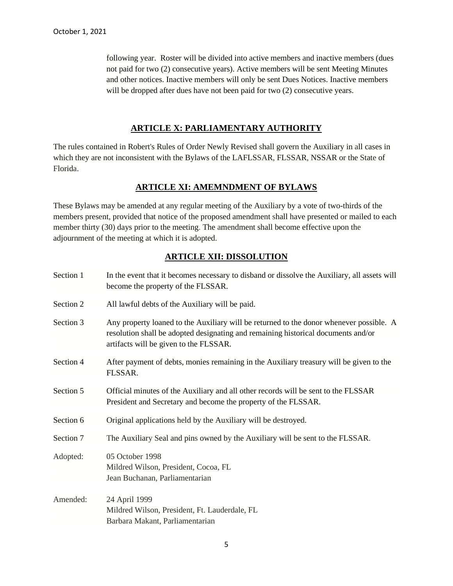following year. Roster will be divided into active members and inactive members (dues not paid for two (2) consecutive years). Active members will be sent Meeting Minutes and other notices. Inactive members will only be sent Dues Notices. Inactive members will be dropped after dues have not been paid for two  $(2)$  consecutive years.

# **ARTICLE X: PARLIAMENTARY AUTHORITY**

The rules contained in Robert's Rules of Order Newly Revised shall govern the Auxiliary in all cases in which they are not inconsistent with the Bylaws of the LAFLSSAR, FLSSAR, NSSAR or the State of Florida.

# **ARTICLE XI: AMEMNDMENT OF BYLAWS**

These Bylaws may be amended at any regular meeting of the Auxiliary by a vote of two-thirds of the members present, provided that notice of the proposed amendment shall have presented or mailed to each member thirty (30) days prior to the meeting. The amendment shall become effective upon the adjournment of the meeting at which it is adopted.

# **ARTICLE XII: DISSOLUTION**

| Section 1 | In the event that it becomes necessary to disband or dissolve the Auxiliary, all assets will<br>become the property of the FLSSAR.                                                                                     |  |
|-----------|------------------------------------------------------------------------------------------------------------------------------------------------------------------------------------------------------------------------|--|
| Section 2 | All lawful debts of the Auxiliary will be paid.                                                                                                                                                                        |  |
| Section 3 | Any property loaned to the Auxiliary will be returned to the donor whenever possible. A<br>resolution shall be adopted designating and remaining historical documents and/or<br>artifacts will be given to the FLSSAR. |  |
| Section 4 | After payment of debts, monies remaining in the Auxiliary treasury will be given to the<br>FLSSAR.                                                                                                                     |  |
| Section 5 | Official minutes of the Auxiliary and all other records will be sent to the FLSSAR<br>President and Secretary and become the property of the FLSSAR.                                                                   |  |
| Section 6 | Original applications held by the Auxiliary will be destroyed.                                                                                                                                                         |  |
| Section 7 | The Auxiliary Seal and pins owned by the Auxiliary will be sent to the FLSSAR.                                                                                                                                         |  |
| Adopted:  | 05 October 1998<br>Mildred Wilson, President, Cocoa, FL<br>Jean Buchanan, Parliamentarian                                                                                                                              |  |
| Amended:  | 24 April 1999<br>Mildred Wilson, President, Ft. Lauderdale, FL<br>Barbara Makant, Parliamentarian                                                                                                                      |  |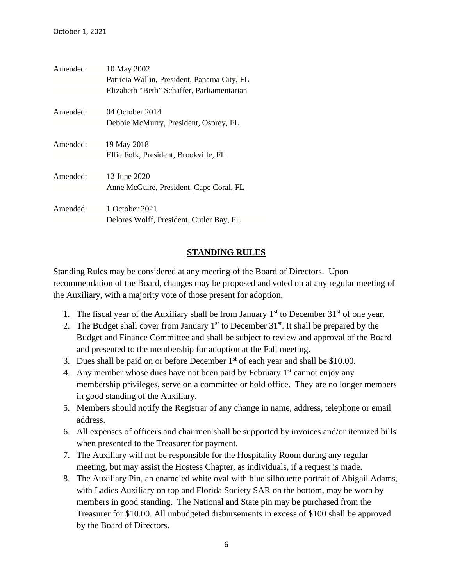| Amended: | 10 May 2002                                 |
|----------|---------------------------------------------|
|          | Patricia Wallin, President, Panama City, FL |
|          | Elizabeth "Beth" Schaffer, Parliamentarian  |
| Amended: | 04 October 2014                             |
|          | Debbie McMurry, President, Osprey, FL       |
| Amended: | 19 May 2018                                 |
|          | Ellie Folk, President, Brookville, FL       |
| Amended: | 12 June 2020                                |
|          | Anne McGuire, President, Cape Coral, FL     |
| Amended: | 1 October 2021                              |
|          | Delores Wolff, President, Cutler Bay, FL    |

# **STANDING RULES**

Standing Rules may be considered at any meeting of the Board of Directors. Upon recommendation of the Board, changes may be proposed and voted on at any regular meeting of the Auxiliary, with a majority vote of those present for adoption.

- 1. The fiscal year of the Auxiliary shall be from January  $1<sup>st</sup>$  to December  $31<sup>st</sup>$  of one year.
- 2. The Budget shall cover from January  $1<sup>st</sup>$  to December 31 $<sup>st</sup>$ . It shall be prepared by the</sup> Budget and Finance Committee and shall be subject to review and approval of the Board and presented to the membership for adoption at the Fall meeting.
- 3. Dues shall be paid on or before December  $1<sup>st</sup>$  of each year and shall be \$10.00.
- 4. Any member whose dues have not been paid by February 1<sup>st</sup> cannot enjoy any membership privileges, serve on a committee or hold office. They are no longer members in good standing of the Auxiliary.
- 5. Members should notify the Registrar of any change in name, address, telephone or email address.
- 6. All expenses of officers and chairmen shall be supported by invoices and/or itemized bills when presented to the Treasurer for payment.
- 7. The Auxiliary will not be responsible for the Hospitality Room during any regular meeting, but may assist the Hostess Chapter, as individuals, if a request is made.
- 8. The Auxiliary Pin, an enameled white oval with blue silhouette portrait of Abigail Adams, with Ladies Auxiliary on top and Florida Society SAR on the bottom, may be worn by members in good standing. The National and State pin may be purchased from the Treasurer for \$10.00. All unbudgeted disbursements in excess of \$100 shall be approved by the Board of Directors.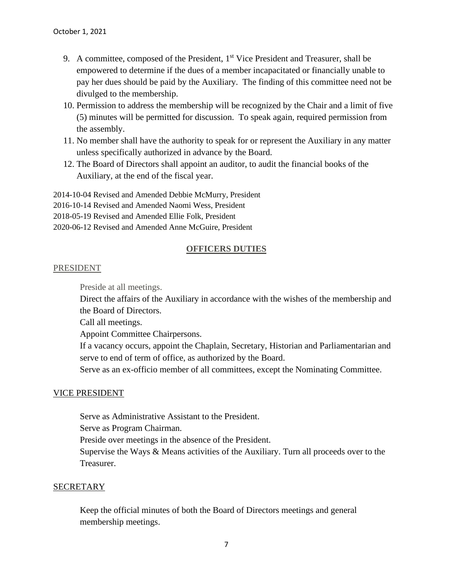- 9. A committee, composed of the President, 1<sup>st</sup> Vice President and Treasurer, shall be empowered to determine if the dues of a member incapacitated or financially unable to pay her dues should be paid by the Auxiliary. The finding of this committee need not be divulged to the membership.
- 10. Permission to address the membership will be recognized by the Chair and a limit of five (5) minutes will be permitted for discussion. To speak again, required permission from the assembly.
- 11. No member shall have the authority to speak for or represent the Auxiliary in any matter unless specifically authorized in advance by the Board.
- 12. The Board of Directors shall appoint an auditor, to audit the financial books of the Auxiliary, at the end of the fiscal year.

2014-10-04 Revised and Amended Debbie McMurry, President

2016-10-14 Revised and Amended Naomi Wess, President

2018-05-19 Revised and Amended Ellie Folk, President

2020-06-12 Revised and Amended Anne McGuire, President

### **OFFICERS DUTIES**

#### PRESIDENT

Preside at all meetings.

Direct the affairs of the Auxiliary in accordance with the wishes of the membership and the Board of Directors.

Call all meetings.

Appoint Committee Chairpersons.

If a vacancy occurs, appoint the Chaplain, Secretary, Historian and Parliamentarian and serve to end of term of office, as authorized by the Board.

Serve as an ex-officio member of all committees, except the Nominating Committee.

## VICE PRESIDENT

Serve as Administrative Assistant to the President.

Serve as Program Chairman.

Preside over meetings in the absence of the President.

Supervise the Ways & Means activities of the Auxiliary. Turn all proceeds over to the Treasurer.

#### **SECRETARY**

Keep the official minutes of both the Board of Directors meetings and general membership meetings.